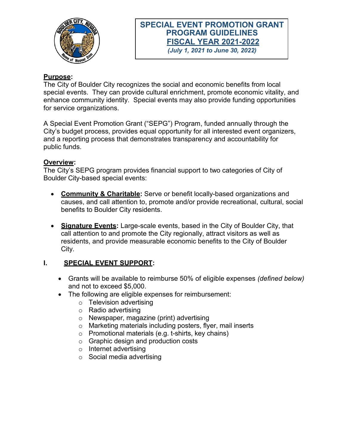

# **SPECIAL EVENT PROMOTION GRANT PROGRAM GUIDELINES FISCAL YEAR 2021-2022** *(July 1, 2021 to June 30, 2022)*

**Purpose:**

The City of Boulder City recognizes the social and economic benefits from local special events. They can provide cultural enrichment, promote economic vitality, and enhance community identity. Special events may also provide funding opportunities for service organizations.

A Special Event Promotion Grant ("SEPG") Program, funded annually through the City's budget process, provides equal opportunity for all interested event organizers, and a reporting process that demonstrates transparency and accountability for public funds.

## **Overview:**

The City's SEPG program provides financial support to two categories of City of Boulder City-based special events:

- **Community & Charitable:** Serve or benefit locally-based organizations and causes, and call attention to, promote and/or provide recreational, cultural, social benefits to Boulder City residents.
- **Signature Events:** Large-scale events, based in the City of Boulder City, that call attention to and promote the City regionally, attract visitors as well as residents, and provide measurable economic benefits to the City of Boulder City.

## **I. SPECIAL EVENT SUPPORT:**

- Grants will be available to reimburse 50% of eligible expenses *(defined below)* and not to exceed \$5,000.
- The following are eligible expenses for reimbursement:
	- o Television advertising
	- o Radio advertising
	- o Newspaper, magazine (print) advertising
	- o Marketing materials including posters, flyer, mail inserts
	- o Promotional materials (e.g. t-shirts, key chains)
	- o Graphic design and production costs
	- o Internet advertising
	- o Social media advertising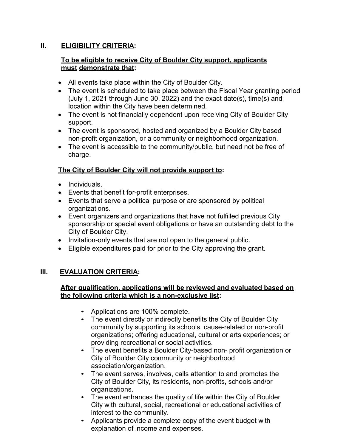## **II. ELIGIBILITY CRITERIA:**

# **To be eligible to receive City of Boulder City support, applicants must demonstrate that:**

- All events take place within the City of Boulder City.
- The event is scheduled to take place between the Fiscal Year granting period (July 1, 2021 through June 30, 2022) and the exact date(s), time(s) and location within the City have been determined.
- The event is not financially dependent upon receiving City of Boulder City support.
- The event is sponsored, hosted and organized by a Boulder City based non-profit organization, or a community or neighborhood organization.
- The event is accessible to the community/public, but need not be free of charge.

# **The City of Boulder City will not provide support to:**

- Individuals.
- Events that benefit for-profit enterprises.
- Events that serve a political purpose or are sponsored by political organizations.
- Event organizers and organizations that have not fulfilled previous City sponsorship or special event obligations or have an outstanding debt to the City of Boulder City.
- Invitation-only events that are not open to the general public.
- Eligible expenditures paid for prior to the City approving the grant.

## **III. EVALUATION CRITERIA:**

#### **After qualification, applications will be reviewed and evaluated based on the following criteria which is a non-exclusive list:**

- Applications are 100% complete.
- The event directly or indirectly benefits the City of Boulder City community by supporting its schools, cause-related or non-profit organizations; offering educational, cultural or arts experiences; or providing recreational or social activities.
- The event benefits a Boulder City-based non- profit organization or City of Boulder City community or neighborhood association/organization.
- The event serves, involves, calls attention to and promotes the City of Boulder City, its residents, non-profits, schools and/or organizations.
- The event enhances the quality of life within the City of Boulder City with cultural, social, recreational or educational activities of interest to the community.
- Applicants provide a complete copy of the event budget with explanation of income and expenses.